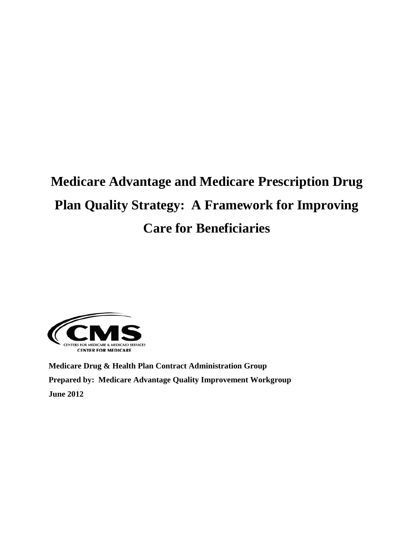# **Medicare Advantage and Medicare Prescription Drug Plan Quality Strategy: A Framework for Improving Care for Beneficiaries**



**Medicare Drug & Health Plan Contract Administration Group Prepared by: Medicare Advantage Quality Improvement Workgroup June 2012**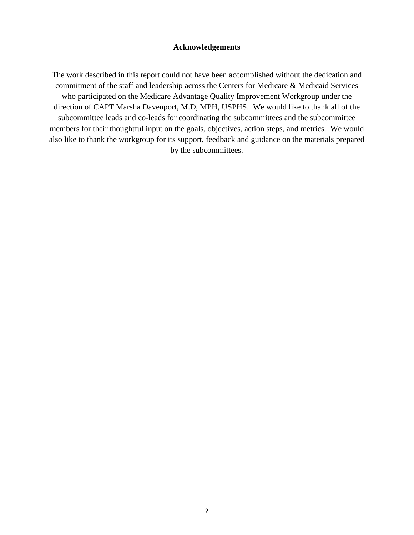## **Acknowledgements**

The work described in this report could not have been accomplished without the dedication and commitment of the staff and leadership across the Centers for Medicare & Medicaid Services who participated on the Medicare Advantage Quality Improvement Workgroup under the direction of CAPT Marsha Davenport, M.D, MPH, USPHS. We would like to thank all of the subcommittee leads and co-leads for coordinating the subcommittees and the subcommittee members for their thoughtful input on the goals, objectives, action steps, and metrics. We would also like to thank the workgroup for its support, feedback and guidance on the materials prepared by the subcommittees.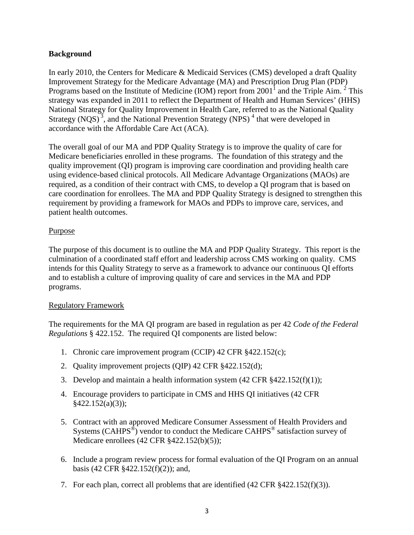## **Background**

In early 2010, the Centers for Medicare & Medicaid Services (CMS) developed a draft Quality Improvement Strategy for the Medicare Advantage (MA) and Prescription Drug Plan (PDP) Programs based on the Institute of Medicine (IOM) report from  $2001<sup>1</sup>$  and the Triple Aim. <sup>2</sup> This strategy was expanded in 2011 to reflect the Department of Health and Human Services' (HHS) National Strategy for Quality Improvement in Health Care, referred to as the National Quality Strategy  $(NQS)^3$ , and the National Prevention Strategy  $(NPS)^4$  that were developed in accordance with the Affordable Care Act (ACA).

The overall goal of our MA and PDP Quality Strategy is to improve the quality of care for Medicare beneficiaries enrolled in these programs. The foundation of this strategy and the quality improvement (QI) program is improving care coordination and providing health care using evidence-based clinical protocols. All Medicare Advantage Organizations (MAOs) are required, as a condition of their contract with CMS, to develop a QI program that is based on care coordination for enrollees. The MA and PDP Quality Strategy is designed to strengthen this requirement by providing a framework for MAOs and PDPs to improve care, services, and patient health outcomes.

## Purpose

The purpose of this document is to outline the MA and PDP Quality Strategy. This report is the culmination of a coordinated staff effort and leadership across CMS working on quality. CMS intends for this Quality Strategy to serve as a framework to advance our continuous QI efforts and to establish a culture of improving quality of care and services in the MA and PDP programs.

## Regulatory Framework

The requirements for the MA QI program are based in regulation as per 42 *Code of the Federal Regulations* § 422.152. The required QI components are listed below:

- 1. Chronic care improvement program (CCIP) 42 CFR §422.152(c);
- 2. Quality improvement projects (QIP) 42 CFR §422.152(d);
- 3. Develop and maintain a health information system  $(42 \text{ CFR }  $\frac{8422.152(f)(1)}{2}$ ;$
- 4. Encourage providers to participate in CMS and HHS QI initiatives (42 CFR §422.152(a)(3));
- 5. Contract with an approved Medicare Consumer Assessment of Health Providers and Systems (CAHPS<sup>®</sup>) vendor to conduct the Medicare CAHPS<sup>®</sup> satisfaction survey of Medicare enrollees (42 CFR §422.152(b)(5));
- 6. Include a program review process for formal evaluation of the QI Program on an annual basis (42 CFR §422.152(f)(2)); and,
- 7. For each plan, correct all problems that are identified (42 CFR §422.152(f)(3)).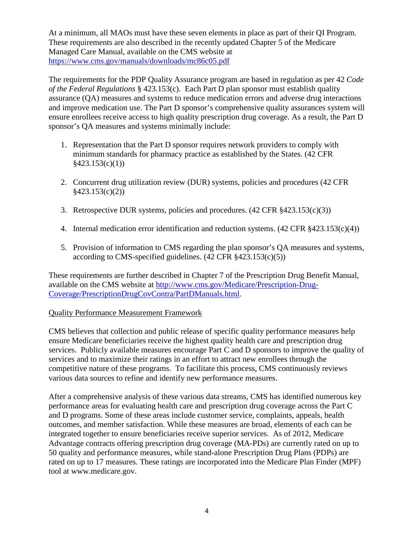At a minimum, all MAOs must have these seven elements in place as part of their QI Program. These requirements are also described in the recently updated Chapter 5 of the Medicare Managed Care Manual, available on the CMS website at <https://www.cms.gov/manuals/downloads/mc86c05.pdf>

The requirements for the PDP Quality Assurance program are based in regulation as per 42 *Code of the Federal Regulations* § 423.153(c). Each Part D plan sponsor must establish quality assurance (QA) measures and systems to reduce medication errors and adverse drug interactions and improve medication use. The Part D sponsor's comprehensive quality assurances system will ensure enrollees receive access to high quality prescription drug coverage. As a result, the Part D sponsor's QA measures and systems minimally include:

- 1. Representation that the Part D sponsor requires network providers to comply with minimum standards for pharmacy practice as established by the States. (42 CFR  $§423.153(c)(1))$
- 2. Concurrent drug utilization review (DUR) systems, policies and procedures (42 CFR §423.153(c)(2))
- 3. Retrospective DUR systems, policies and procedures. (42 CFR §423.153(c)(3))
- 4. Internal medication error identification and reduction systems. (42 CFR §423.153(c)(4))
- 5. Provision of information to CMS regarding the plan sponsor's QA measures and systems, according to CMS-specified guidelines.  $(42 \text{ CFR } \text{\&} 423.153(c)(5))$

These requirements are further described in Chapter 7 of the Prescription Drug Benefit Manual, available on the CMS website at [http://www.cms.gov/Medicare/Prescription-Drug-](http://www.cms.gov/Medicare/Prescription-Drug-Coverage/PrescriptionDrugCovContra/PartDManuals.html)[Coverage/PrescriptionDrugCovContra/PartDManuals.html.](http://www.cms.gov/Medicare/Prescription-Drug-Coverage/PrescriptionDrugCovContra/PartDManuals.html)

## Quality Performance Measurement Framework

CMS believes that collection and public release of specific quality performance measures help ensure Medicare beneficiaries receive the highest quality health care and prescription drug services. Publicly available measures encourage Part C and D sponsors to improve the quality of services and to maximize their ratings in an effort to attract new enrollees through the competitive nature of these programs. To facilitate this process, CMS continuously reviews various data sources to refine and identify new performance measures.

After a comprehensive analysis of these various data streams, CMS has identified numerous key performance areas for evaluating health care and prescription drug coverage across the Part C and D programs. Some of these areas include customer service, complaints, appeals, health outcomes, and member satisfaction. While these measures are broad, elements of each can be integrated together to ensure beneficiaries receive superior services. As of 2012, Medicare Advantage contracts offering prescription drug coverage (MA-PDs) are currently rated on up to 50 quality and performance measures, while stand-alone Prescription Drug Plans (PDPs) are rated on up to 17 measures. These ratings are incorporated into the Medicare Plan Finder (MPF) tool at www.medicare.gov.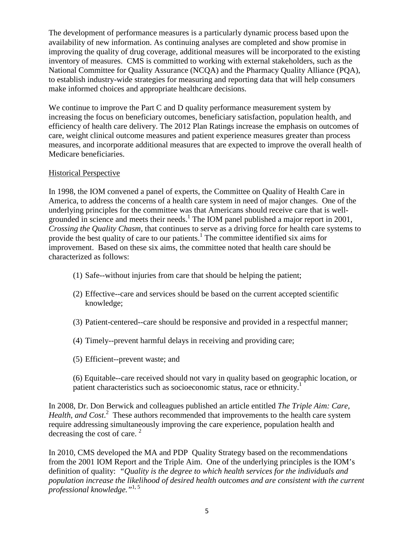The development of performance measures is a particularly dynamic process based upon the availability of new information. As continuing analyses are completed and show promise in improving the quality of drug coverage, additional measures will be incorporated to the existing inventory of measures. CMS is committed to working with external stakeholders, such as the National Committee for Quality Assurance (NCQA) and the Pharmacy Quality Alliance (PQA), to establish industry-wide strategies for measuring and reporting data that will help consumers make informed choices and appropriate healthcare decisions.

We continue to improve the Part C and D quality performance measurement system by increasing the focus on beneficiary outcomes, beneficiary satisfaction, population health, and efficiency of health care delivery. The 2012 Plan Ratings increase the emphasis on outcomes of care, weight clinical outcome measures and patient experience measures greater than process measures, and incorporate additional measures that are expected to improve the overall health of Medicare beneficiaries.

## Historical Perspective

In 1998, the IOM convened a panel of experts, the Committee on Quality of Health Care in America, to address the concerns of a health care system in need of major changes. One of the underlying principles for the committee was that Americans should receive care that is wellgrounded in science and meets their needs.<sup>1</sup> The IOM panel published a major report in 2001, *Crossing the Quality Chasm,* that continues to serve as a driving force for health care systems to provide the best quality of care to our patients.<sup>1</sup> The committee identified six aims for improvement. Based on these six aims, the committee noted that health care should be characterized as follows:

- (1) Safe--without injuries from care that should be helping the patient;
- (2) Effective--care and services should be based on the current accepted scientific knowledge;
- (3) Patient-centered--care should be responsive and provided in a respectful manner;
- (4) Timely--prevent harmful delays in receiving and providing care;
- (5) Efficient--prevent waste; and
- (6) Equitable--care received should not vary in quality based on geographic location, or patient characteristics such as socioeconomic status, race or ethnicity.<sup>1</sup>

In 2008, Dr. Don Berwick and colleagues published an article entitled *The Triple Aim: Care,*  Health, and Cost.<sup>2</sup> These authors recommended that improvements to the health care system require addressing simultaneously improving the care experience, population health and decreasing the cost of care.<sup>2</sup>

In 2010, CMS developed the MA and PDP Quality Strategy based on the recommendations from the 2001 IOM Report and the Triple Aim. One of the underlying principles is the IOM's definition of quality: *"Quality is the degree to which health services for the individuals and population increase the likelihood of desired health outcomes and are consistent with the current professional knowledge."*1, 5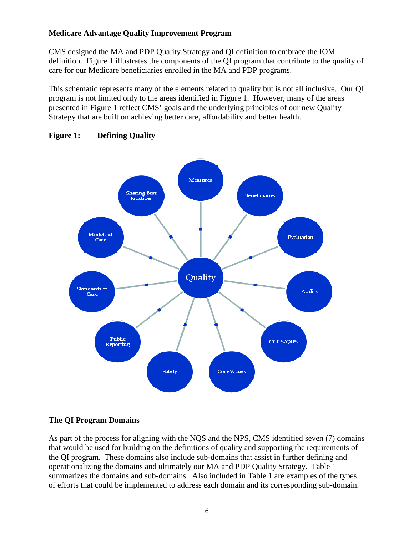## **Medicare Advantage Quality Improvement Program**

CMS designed the MA and PDP Quality Strategy and QI definition to embrace the IOM definition. Figure 1 illustrates the components of the QI program that contribute to the quality of care for our Medicare beneficiaries enrolled in the MA and PDP programs.

This schematic represents many of the elements related to quality but is not all inclusive. Our QI program is not limited only to the areas identified in Figure 1. However, many of the areas presented in Figure 1 reflect CMS' goals and the underlying principles of our new Quality Strategy that are built on achieving better care, affordability and better health.



## **Figure 1: Defining Quality**

## **The QI Program Domains**

As part of the process for aligning with the NQS and the NPS, CMS identified seven (7) domains that would be used for building on the definitions of quality and supporting the requirements of the QI program. These domains also include sub-domains that assist in further defining and operationalizing the domains and ultimately our MA and PDP Quality Strategy. Table 1 summarizes the domains and sub-domains. Also included in Table 1 are examples of the types of efforts that could be implemented to address each domain and its corresponding sub-domain.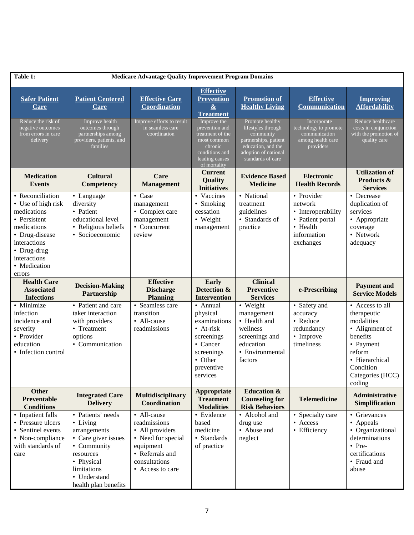| Table 1:                                                                                                                                                                        |                                                                                                         | <b>Medicare Advantage Quality Improvement Program Domains</b>                     |                                                                                                                                        |                                                                                                                                                |                                                                                                         |                                                                                                                                                                |
|---------------------------------------------------------------------------------------------------------------------------------------------------------------------------------|---------------------------------------------------------------------------------------------------------|-----------------------------------------------------------------------------------|----------------------------------------------------------------------------------------------------------------------------------------|------------------------------------------------------------------------------------------------------------------------------------------------|---------------------------------------------------------------------------------------------------------|----------------------------------------------------------------------------------------------------------------------------------------------------------------|
| <b>Safer Patient</b><br><u>Care</u>                                                                                                                                             | <b>Patient Centered</b><br><u>Care</u>                                                                  | <b>Effective Care</b><br><b>Coordination</b>                                      | <b>Effective</b><br><b>Prevention</b><br>$\underline{\&}$<br>Treatment                                                                 | <b>Promotion of</b><br><b>Healthy Living</b>                                                                                                   | <b>Effective</b><br><b>Communication</b>                                                                | <b>Improving</b><br><b>Affordability</b>                                                                                                                       |
| Reduce the risk of<br>negative outcomes<br>from errors in care<br>delivery                                                                                                      | Improve health<br>outcomes through<br>partnerships among<br>providers, patients, and<br><b>families</b> | Improve efforts to result<br>in seamless care<br>coordination                     | Improve the<br>prevention and<br>treatment of the<br>most common<br>chronic<br>conditions and<br>leading causes<br>of mortality        | Promote healthy<br>lifestyles through<br>community<br>partnerships, patient<br>education, and the<br>adoption of national<br>standards of care | Incorporate<br>technology to promote<br>communication<br>among health care<br>providers                 | Reduce healthcare<br>costs in conjunction<br>with the promotion of<br>quality care                                                                             |
| <b>Medication</b><br><b>Events</b>                                                                                                                                              | <b>Cultural</b><br>Competency                                                                           | Care<br><b>Management</b>                                                         | <b>Current</b><br>Quality<br><b>Initiatives</b>                                                                                        | <b>Evidence Based</b><br><b>Medicine</b>                                                                                                       | <b>Electronic</b><br><b>Health Records</b>                                                              | <b>Utilization of</b><br>Products &<br><b>Services</b>                                                                                                         |
| • Reconciliation<br>• Use of high risk<br>medications<br>• Persistent<br>medications<br>• Drug-disease<br>interactions<br>• Drug-drug<br>interactions<br>• Medication<br>errors | • Language<br>diversity<br>• Patient<br>educational level<br>• Religious beliefs<br>• Socioeconomic     | • Case<br>management<br>• Complex care<br>management<br>• Concurrent<br>review    | • Vaccines<br>• Smoking<br>cessation<br>• Weight<br>management                                                                         | • National<br>treatment<br>guidelines<br>• Standards of<br>practice                                                                            | • Provider<br>network<br>• Interoperability<br>• Patient portal<br>• Health<br>information<br>exchanges | • Decrease<br>duplication of<br>services<br>• Appropriate<br>coverage<br>• Network<br>adequacy                                                                 |
| <b>Health Care</b><br><b>Associated</b><br><b>Infections</b>                                                                                                                    | <b>Decision-Making</b><br>Partnership                                                                   | <b>Effective</b><br><b>Discharge</b><br><b>Planning</b>                           | Early<br>Detection &<br><b>Intervention</b>                                                                                            | <b>Clinical</b><br><b>Preventive</b><br><b>Services</b>                                                                                        | e-Prescribing                                                                                           | <b>Payment</b> and<br><b>Service Models</b>                                                                                                                    |
| • Minimize<br>infection<br>incidence and<br>severity<br>• Provider<br>education<br>• Infection control                                                                          | • Patient and care<br>taker interaction<br>with providers<br>• Treatment<br>options<br>• Communication  | • Seamless care<br>transition<br>• All-cause<br>readmissions                      | • Annual<br>physical<br>examinations<br>$\bullet$ At-risk<br>screenings<br>• Cancer<br>screenings<br>• Other<br>preventive<br>services | • Weight<br>management<br>• Health and<br>wellness<br>screenings and<br>education<br>• Environmental<br>factors                                | • Safety and<br>accuracy<br>• Reduce<br>redundancy<br>• Improve<br>timeliness                           | • Access to all<br>therapeutic<br>modalities<br>• Alignment of<br>benefits<br>• Payment<br>reform<br>• Hierarchical<br>Condition<br>Categories (HCC)<br>coding |
| <b>Other</b><br>Preventable<br><b>Conditions</b>                                                                                                                                | <b>Integrated Care</b><br><b>Delivery</b>                                                               | <b>Multidisciplinary</b><br><b>Coordination</b>                                   | Appropriate<br><b>Treatment</b><br><b>Modalities</b>                                                                                   | <b>Education &amp;</b><br><b>Counseling for</b><br><b>Risk Behaviors</b>                                                                       | <b>Telemedicine</b>                                                                                     | <b>Administrative</b><br><b>Simplification</b>                                                                                                                 |
| • Inpatient falls<br>• Pressure ulcers<br>• Sentinel events<br>• Non-compliance<br>with standards of                                                                            | • Patients' needs<br>• Living<br>arrangements<br>• Care giver issues<br>• Community                     | • All-cause<br>readmissions<br>• All providers<br>• Need for special<br>equipment | • Evidence<br>based<br>medicine<br>• Standards<br>of practice                                                                          | • Alcohol and<br>drug use<br>• Abuse and<br>neglect                                                                                            | • Specialty care<br>• Access<br>• Efficiency                                                            | • Grievances<br>• Appeals<br>• Organizational<br>determinations<br>$\bullet$ Pre-                                                                              |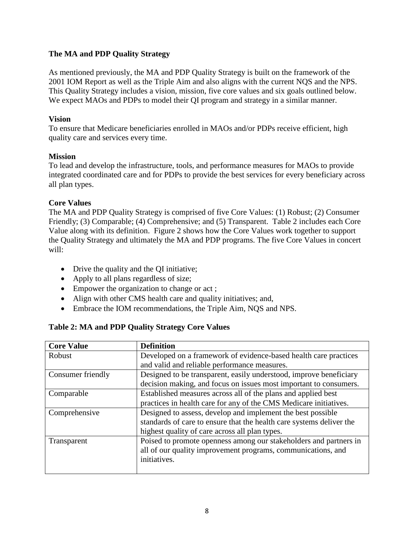## **The MA and PDP Quality Strategy**

As mentioned previously, the MA and PDP Quality Strategy is built on the framework of the 2001 IOM Report as well as the Triple Aim and also aligns with the current NQS and the NPS. This Quality Strategy includes a vision, mission, five core values and six goals outlined below. We expect MAOs and PDPs to model their QI program and strategy in a similar manner.

## **Vision**

To ensure that Medicare beneficiaries enrolled in MAOs and/or PDPs receive efficient, high quality care and services every time.

## **Mission**

To lead and develop the infrastructure, tools, and performance measures for MAOs to provide integrated coordinated care and for PDPs to provide the best services for every beneficiary across all plan types.

## **Core Values**

The MA and PDP Quality Strategy is comprised of five Core Values: (1) Robust; (2) Consumer Friendly; (3) Comparable; (4) Comprehensive; and (5) Transparent. Table 2 includes each Core Value along with its definition. Figure 2 shows how the Core Values work together to support the Quality Strategy and ultimately the MA and PDP programs. The five Core Values in concert will:

- Drive the quality and the QI initiative;
- Apply to all plans regardless of size;
- Empower the organization to change or act;
- Align with other CMS health care and quality initiatives; and,
- Embrace the IOM recommendations, the Triple Aim*,* NQS and NPS.

## **Table 2: MA and PDP Quality Strategy Core Values**

| <b>Core Value</b> | <b>Definition</b>                                                    |  |  |  |
|-------------------|----------------------------------------------------------------------|--|--|--|
| Robust            | Developed on a framework of evidence-based health care practices     |  |  |  |
|                   | and valid and reliable performance measures.                         |  |  |  |
| Consumer friendly | Designed to be transparent, easily understood, improve beneficiary   |  |  |  |
|                   | decision making, and focus on issues most important to consumers.    |  |  |  |
| Comparable        | Established measures across all of the plans and applied best        |  |  |  |
|                   | practices in health care for any of the CMS Medicare initiatives.    |  |  |  |
| Comprehensive     | Designed to assess, develop and implement the best possible          |  |  |  |
|                   | standards of care to ensure that the health care systems deliver the |  |  |  |
|                   | highest quality of care across all plan types.                       |  |  |  |
| Transparent       | Poised to promote openness among our stakeholders and partners in    |  |  |  |
|                   | all of our quality improvement programs, communications, and         |  |  |  |
|                   | initiatives.                                                         |  |  |  |
|                   |                                                                      |  |  |  |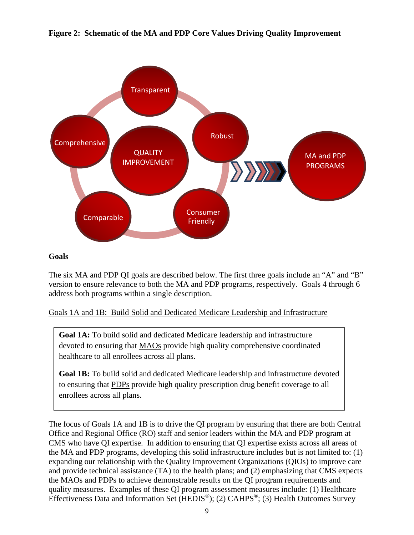



## **Goals**

The six MA and PDP QI goals are described below. The first three goals include an "A" and "B" version to ensure relevance to both the MA and PDP programs, respectively. Goals 4 through 6 address both programs within a single description.

Goals 1A and 1B: Build Solid and Dedicated Medicare Leadership and Infrastructure

**Goal 1A:** To build solid and dedicated Medicare leadership and infrastructure devoted to ensuring that MAOs provide high quality comprehensive coordinated healthcare to all enrollees across all plans.

**Goal 1B:** To build solid and dedicated Medicare leadership and infrastructure devoted to ensuring that PDPs provide high quality prescription drug benefit coverage to all enrollees across all plans.

The focus of Goals 1A and 1B is to drive the QI program by ensuring that there are both Central Office and Regional Office (RO) staff and senior leaders within the MA and PDP program at CMS who have QI expertise. In addition to ensuring that QI expertise exists across all areas of the MA and PDP programs, developing this solid infrastructure includes but is not limited to: (1) expanding our relationship with the Quality Improvement Organizations (QIOs) to improve care and provide technical assistance (TA) to the health plans; and (2) emphasizing that CMS expects the MAOs and PDPs to achieve demonstrable results on the QI program requirements and quality measures. Examples of these QI program assessment measures include: (1) Healthcare Effectiveness Data and Information Set ( $HEDIS^{\circledcirc}$ ); (2) CAHPS<sup> $\circledcirc$ </sup>; (3) Health Outcomes Survey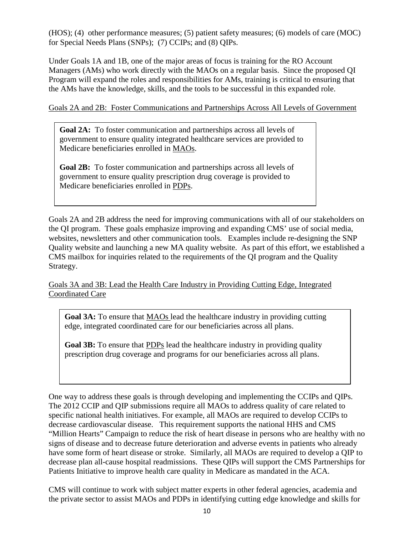(HOS); (4) other performance measures; (5) patient safety measures; (6) models of care (MOC) for Special Needs Plans (SNPs); (7) CCIPs; and (8) QIPs.

Under Goals 1A and 1B, one of the major areas of focus is training for the RO Account Managers (AMs) who work directly with the MAOs on a regular basis. Since the proposed QI Program will expand the roles and responsibilities for AMs, training is critical to ensuring that the AMs have the knowledge, skills, and the tools to be successful in this expanded role.

Goals 2A and 2B: Foster Communications and Partnerships Across All Levels of Government

**Goal 2A:** To foster communication and partnerships across all levels of government to ensure quality integrated healthcare services are provided to Medicare beneficiaries enrolled in MAOs.

**Goal 2B:** To foster communication and partnerships across all levels of government to ensure quality prescription drug coverage is provided to Medicare beneficiaries enrolled in PDPs.

Goals 2A and 2B address the need for improving communications with all of our stakeholders on the QI program. These goals emphasize improving and expanding CMS' use of social media, websites, newsletters and other communication tools. Examples include re-designing the SNP Quality website and launching a new MA quality website. As part of this effort, we established a CMS mailbox for inquiries related to the requirements of the QI program and the Quality Strategy.

Goals 3A and 3B: Lead the Health Care Industry in Providing Cutting Edge, Integrated Coordinated Care

**Goal 3A:** To ensure that MAOs lead the healthcare industry in providing cutting edge, integrated coordinated care for our beneficiaries across all plans.

**Goal 3B:** To ensure that **PDPs** lead the healthcare industry in providing quality prescription drug coverage and programs for our beneficiaries across all plans.

One way to address these goals is through developing and implementing the CCIPs and QIPs. The 2012 CCIP and QIP submissions require all MAOs to address quality of care related to specific national health initiatives. For example, all MAOs are required to develop CCIPs to decrease cardiovascular disease. This requirement supports the national HHS and CMS "Million Hearts" Campaign to reduce the risk of heart disease in persons who are healthy with no signs of disease and to decrease future deterioration and adverse events in patients who already have some form of heart disease or stroke. Similarly, all MAOs are required to develop a QIP to decrease plan all-cause hospital readmissions. These QIPs will support the CMS Partnerships for Patients Initiative to improve health care quality in Medicare as mandated in the ACA.

CMS will continue to work with subject matter experts in other federal agencies, academia and the private sector to assist MAOs and PDPs in identifying cutting edge knowledge and skills for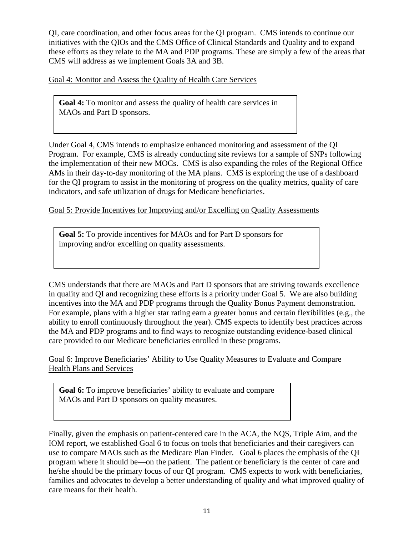QI, care coordination, and other focus areas for the QI program. CMS intends to continue our initiatives with the QIOs and the CMS Office of Clinical Standards and Quality and to expand these efforts as they relate to the MA and PDP programs. These are simply a few of the areas that CMS will address as we implement Goals 3A and 3B.

Goal 4: Monitor and Assess the Quality of Health Care Services

**Goal 4:** To monitor and assess the quality of health care services in MAOs and Part D sponsors.

Under Goal 4, CMS intends to emphasize enhanced monitoring and assessment of the QI Program. For example, CMS is already conducting site reviews for a sample of SNPs following the implementation of their new MOCs. CMS is also expanding the roles of the Regional Office AMs in their day-to-day monitoring of the MA plans. CMS is exploring the use of a dashboard for the QI program to assist in the monitoring of progress on the quality metrics, quality of care indicators, and safe utilization of drugs for Medicare beneficiaries.

Goal 5: Provide Incentives for Improving and/or Excelling on Quality Assessments

**Goal 5:** To provide incentives for MAOs and for Part D sponsors for improving and/or excelling on quality assessments.

CMS understands that there are MAOs and Part D sponsors that are striving towards excellence in quality and QI and recognizing these efforts is a priority under Goal 5. We are also building incentives into the MA and PDP programs through the Quality Bonus Payment demonstration. For example, plans with a higher star rating earn a greater bonus and certain flexibilities (e.g., the ability to enroll continuously throughout the year). CMS expects to identify best practices across the MA and PDP programs and to find ways to recognize outstanding evidence-based clinical care provided to our Medicare beneficiaries enrolled in these programs.

Goal 6: Improve Beneficiaries' Ability to Use Quality Measures to Evaluate and Compare Health Plans and Services

**Goal 6:** To improve beneficiaries' ability to evaluate and compare MAOs and Part D sponsors on quality measures.

Finally, given the emphasis on patient-centered care in the ACA, the NQS, Triple Aim, and the IOM report, we established Goal 6 to focus on tools that beneficiaries and their caregivers can use to compare MAOs such as the Medicare Plan Finder. Goal 6 places the emphasis of the QI program where it should be—on the patient. The patient or beneficiary is the center of care and he/she should be the primary focus of our QI program. CMS expects to work with beneficiaries, families and advocates to develop a better understanding of quality and what improved quality of care means for their health.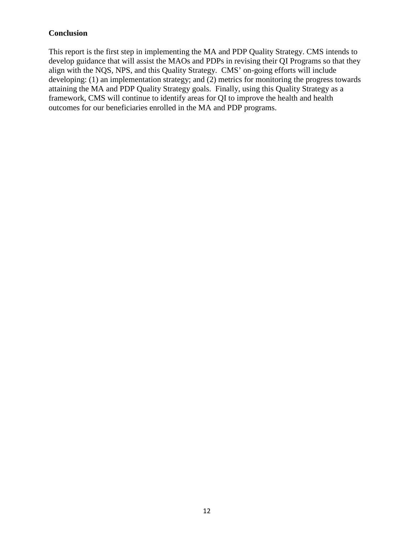## **Conclusion**

This report is the first step in implementing the MA and PDP Quality Strategy. CMS intends to develop guidance that will assist the MAOs and PDPs in revising their QI Programs so that they align with the NQS, NPS, and this Quality Strategy. CMS' on-going efforts will include developing: (1) an implementation strategy; and (2) metrics for monitoring the progress towards attaining the MA and PDP Quality Strategy goals. Finally, using this Quality Strategy as a framework, CMS will continue to identify areas for QI to improve the health and health outcomes for our beneficiaries enrolled in the MA and PDP programs.